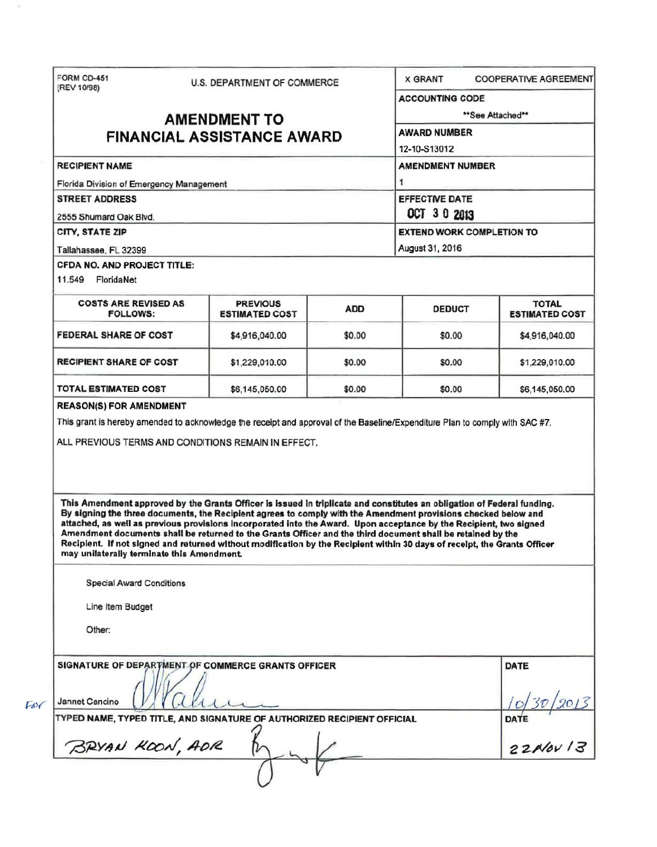| FORM CD-451<br>(REV 10/98)                                                                                                                                                                                                                                                                                                                                                                                                                                                                                                                                                                                                                                                                                                                                                                                                                                   | U.S. DEPARTMENT OF COMMERCE |        | <b>X GRANT</b>                                                                                    | <b>COOPERATIVE AGREEMENT</b> |  |                                                  |                                          |            |               |                                       |
|--------------------------------------------------------------------------------------------------------------------------------------------------------------------------------------------------------------------------------------------------------------------------------------------------------------------------------------------------------------------------------------------------------------------------------------------------------------------------------------------------------------------------------------------------------------------------------------------------------------------------------------------------------------------------------------------------------------------------------------------------------------------------------------------------------------------------------------------------------------|-----------------------------|--------|---------------------------------------------------------------------------------------------------|------------------------------|--|--------------------------------------------------|------------------------------------------|------------|---------------|---------------------------------------|
| <b>AMENDMENT TO</b><br><b>FINANCIAL ASSISTANCE AWARD</b>                                                                                                                                                                                                                                                                                                                                                                                                                                                                                                                                                                                                                                                                                                                                                                                                     |                             |        | <b>ACCOUNTING CODE</b>                                                                            |                              |  |                                                  |                                          |            |               |                                       |
|                                                                                                                                                                                                                                                                                                                                                                                                                                                                                                                                                                                                                                                                                                                                                                                                                                                              |                             |        | **See Attached**                                                                                  |                              |  |                                                  |                                          |            |               |                                       |
|                                                                                                                                                                                                                                                                                                                                                                                                                                                                                                                                                                                                                                                                                                                                                                                                                                                              |                             |        | <b>AWARD NUMBER</b>                                                                               |                              |  |                                                  |                                          |            |               |                                       |
|                                                                                                                                                                                                                                                                                                                                                                                                                                                                                                                                                                                                                                                                                                                                                                                                                                                              |                             |        | 12-10-S13012                                                                                      |                              |  |                                                  |                                          |            |               |                                       |
| <b>RECIPIENT NAME</b>                                                                                                                                                                                                                                                                                                                                                                                                                                                                                                                                                                                                                                                                                                                                                                                                                                        |                             |        | <b>AMENDMENT NUMBER</b>                                                                           |                              |  |                                                  |                                          |            |               |                                       |
| Florida Division of Emergency Management<br><b>STREET ADDRESS</b><br>2555 Shumard Oak Blvd.<br>CITY, STATE ZIP<br>Tallahassee, FL 32399                                                                                                                                                                                                                                                                                                                                                                                                                                                                                                                                                                                                                                                                                                                      |                             |        | 1<br><b>EFFECTIVE DATE</b><br>OCT 3 0 2013<br><b>EXTEND WORK COMPLETION TO</b><br>August 31, 2016 |                              |  |                                                  |                                          |            |               |                                       |
|                                                                                                                                                                                                                                                                                                                                                                                                                                                                                                                                                                                                                                                                                                                                                                                                                                                              |                             |        |                                                                                                   |                              |  | CFDA NO. AND PROJECT TITLE:<br>11.549 FloridaNet |                                          |            |               |                                       |
|                                                                                                                                                                                                                                                                                                                                                                                                                                                                                                                                                                                                                                                                                                                                                                                                                                                              |                             |        |                                                                                                   |                              |  | <b>COSTS ARE REVISED AS</b><br><b>FOLLOWS:</b>   | <b>PREVIOUS</b><br><b>ESTIMATED COST</b> | <b>ADD</b> | <b>DEDUCT</b> | <b>TOTAL</b><br><b>ESTIMATED COST</b> |
|                                                                                                                                                                                                                                                                                                                                                                                                                                                                                                                                                                                                                                                                                                                                                                                                                                                              |                             |        |                                                                                                   |                              |  | <b>FEDERAL SHARE OF COST</b>                     | \$4,916,040.00                           | \$0.00     | \$0.00        | \$4,916,040.00                        |
| <b>RECIPIENT SHARE OF COST</b>                                                                                                                                                                                                                                                                                                                                                                                                                                                                                                                                                                                                                                                                                                                                                                                                                               | \$1,229,010.00              | \$0.00 | \$0.00                                                                                            | \$1,229,010.00               |  |                                                  |                                          |            |               |                                       |
|                                                                                                                                                                                                                                                                                                                                                                                                                                                                                                                                                                                                                                                                                                                                                                                                                                                              |                             |        |                                                                                                   |                              |  |                                                  |                                          |            |               |                                       |
|                                                                                                                                                                                                                                                                                                                                                                                                                                                                                                                                                                                                                                                                                                                                                                                                                                                              | \$6,145,050.00              | \$0.00 | \$0.00                                                                                            | \$6,145,050.00               |  |                                                  |                                          |            |               |                                       |
| TOTAL ESTIMATED COST<br><b>REASON(S) FOR AMENDMENT</b><br>This grant is hereby amended to acknowledge the receipt and approval of the Baseline/Expenditure Plan to comply with SAC #7.<br>ALL PREVIOUS TERMS AND CONDITIONS REMAIN IN EFFECT.<br>This Amendment approved by the Grants Officer is issued in triplicate and constitutes an obligation of Federal funding.<br>By signing the three documents, the Recipient agrees to comply with the Amendment provisions checked below and<br>attached, as well as previous provisions incorporated into the Award. Upon acceptance by the Recipient, two signed<br>Amendment documents shall be returned to the Grants Officer and the third document shall be retained by the<br>Recipient. If not signed and returned without modification by the Recipient within 30 days of receipt, the Grants Officer |                             |        |                                                                                                   |                              |  |                                                  |                                          |            |               |                                       |
| may unilaterally terminate this Amendment.                                                                                                                                                                                                                                                                                                                                                                                                                                                                                                                                                                                                                                                                                                                                                                                                                   |                             |        |                                                                                                   |                              |  |                                                  |                                          |            |               |                                       |
| <b>Special Award Conditions</b>                                                                                                                                                                                                                                                                                                                                                                                                                                                                                                                                                                                                                                                                                                                                                                                                                              |                             |        |                                                                                                   |                              |  |                                                  |                                          |            |               |                                       |
| Line Item Budget                                                                                                                                                                                                                                                                                                                                                                                                                                                                                                                                                                                                                                                                                                                                                                                                                                             |                             |        |                                                                                                   |                              |  |                                                  |                                          |            |               |                                       |
| Other:                                                                                                                                                                                                                                                                                                                                                                                                                                                                                                                                                                                                                                                                                                                                                                                                                                                       |                             |        |                                                                                                   |                              |  |                                                  |                                          |            |               |                                       |
| SIGNATURE OF DEPARTMENT OF COMMERCE GRANTS OFFICER                                                                                                                                                                                                                                                                                                                                                                                                                                                                                                                                                                                                                                                                                                                                                                                                           |                             |        |                                                                                                   | DATE                         |  |                                                  |                                          |            |               |                                       |
| Jannet Cancino                                                                                                                                                                                                                                                                                                                                                                                                                                                                                                                                                                                                                                                                                                                                                                                                                                               |                             |        |                                                                                                   |                              |  |                                                  |                                          |            |               |                                       |
| TYPED NAME, TYPED TITLE, AND SIGNATURE OF AUTHORIZED RECIPIENT OFFICIAL                                                                                                                                                                                                                                                                                                                                                                                                                                                                                                                                                                                                                                                                                                                                                                                      |                             |        |                                                                                                   | 30/2013<br>DATE $22A/8V/3$   |  |                                                  |                                          |            |               |                                       |